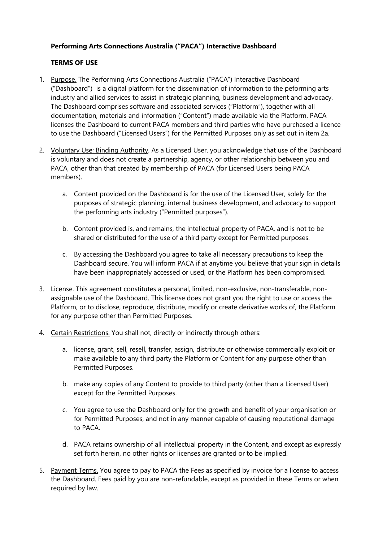# **Performing Arts Connections Australia ("PACA") Interactive Dashboard**

## **TERMS OF USE**

- 1. Purpose. The Performing Arts Connections Australia ("PACA") Interactive Dashboard ("Dashboard") is a digital platform for the dissemination of information to the peforming arts industry and allied services to assist in strategic planning, business development and advocacy. The Dashboard comprises software and associated services ("Platform"), together with all documentation, materials and information ("Content") made available via the Platform. PACA licenses the Dashboard to current PACA members and third parties who have purchased a licence to use the Dashboard ("Licensed Users") for the Permitted Purposes only as set out in item 2a.
- 2. Voluntary Use; Binding Authority. As a Licensed User, you acknowledge that use of the Dashboard is voluntary and does not create a partnership, agency, or other relationship between you and PACA, other than that created by membership of PACA (for Licensed Users being PACA members).
	- a. Content provided on the Dashboard is for the use of the Licensed User, solely for the purposes of strategic planning, internal business development, and advocacy to support the performing arts industry ("Permitted purposes").
	- b. Content provided is, and remains, the intellectual property of PACA, and is not to be shared or distributed for the use of a third party except for Permitted purposes.
	- c. By accessing the Dashboard you agree to take all necessary precautions to keep the Dashboard secure. You will inform PACA if at anytime you believe that your sign in details have been inappropriately accessed or used, or the Platform has been compromised.
- 3. License. This agreement constitutes a personal, limited, non-exclusive, non-transferable, nonassignable use of the Dashboard. This license does not grant you the right to use or access the Platform, or to disclose, reproduce, distribute, modify or create derivative works of, the Platform for any purpose other than Permitted Purposes.
- 4. Certain Restrictions. You shall not, directly or indirectly through others:
	- a. license, grant, sell, resell, transfer, assign, distribute or otherwise commercially exploit or make available to any third party the Platform or Content for any purpose other than Permitted Purposes.
	- b. make any copies of any Content to provide to third party (other than a Licensed User) except for the Permitted Purposes.
	- c. You agree to use the Dashboard only for the growth and benefit of your organisation or for Permitted Purposes, and not in any manner capable of causing reputational damage to PACA.
	- d. PACA retains ownership of all intellectual property in the Content, and except as expressly set forth herein, no other rights or licenses are granted or to be implied.
- 5. Payment Terms. You agree to pay to PACA the Fees as specified by invoice for a license to access the Dashboard. Fees paid by you are non-refundable, except as provided in these Terms or when required by law.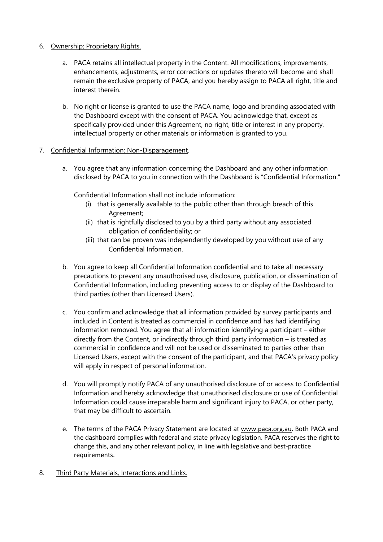## 6. Ownership; Proprietary Rights.

- a. PACA retains all intellectual property in the Content. All modifications, improvements, enhancements, adjustments, error corrections or updates thereto will become and shall remain the exclusive property of PACA, and you hereby assign to PACA all right, title and interest therein.
- b. No right or license is granted to use the PACA name, logo and branding associated with the Dashboard except with the consent of PACA. You acknowledge that, except as specifically provided under this Agreement, no right, title or interest in any property, intellectual property or other materials or information is granted to you.

# 7. Confidential Information; Non-Disparagement.

a. You agree that any information concerning the Dashboard and any other information disclosed by PACA to you in connection with the Dashboard is "Confidential Information."

Confidential Information shall not include information:

- (i) that is generally available to the public other than through breach of this Agreement;
- (ii) that is rightfully disclosed to you by a third party without any associated obligation of confidentiality; or
- (iii) that can be proven was independently developed by you without use of any Confidential Information.
- b. You agree to keep all Confidential Information confidential and to take all necessary precautions to prevent any unauthorised use, disclosure, publication, or dissemination of Confidential Information, including preventing access to or display of the Dashboard to third parties (other than Licensed Users).
- c. You confirm and acknowledge that all information provided by survey participants and included in Content is treated as commercial in confidence and has had identifying information removed. You agree that all information identifying a participant – either directly from the Content, or indirectly through third party information – is treated as commercial in confidence and will not be used or disseminated to parties other than Licensed Users, except with the consent of the participant, and that PACA's privacy policy will apply in respect of personal information.
- d. You will promptly notify PACA of any unauthorised disclosure of or access to Confidential Information and hereby acknowledge that unauthorised disclosure or use of Confidential Information could cause irreparable harm and significant injury to PACA, or other party, that may be difficult to ascertain.
- e. The terms of the PACA Privacy Statement are located at www.paca.org.au. Both PACA and the dashboard complies with federal and state privacy legislation. PACA reserves the right to change this, and any other relevant policy, in line with legislative and best-practice requirements.
- 8. Third Party Materials, Interactions and Links.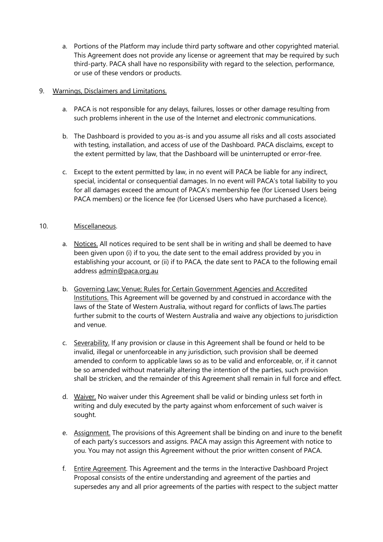a. Portions of the Platform may include third party software and other copyrighted material. This Agreement does not provide any license or agreement that may be required by such third-party. PACA shall have no responsibility with regard to the selection, performance, or use of these vendors or products.

## 9. Warnings, Disclaimers and Limitations.

- a. PACA is not responsible for any delays, failures, losses or other damage resulting from such problems inherent in the use of the Internet and electronic communications.
- b. The Dashboard is provided to you as-is and you assume all risks and all costs associated with testing, installation, and access of use of the Dashboard. PACA disclaims, except to the extent permitted by law, that the Dashboard will be uninterrupted or error-free.
- c. Except to the extent permitted by law, in no event will PACA be liable for any indirect, special, incidental or consequential damages. In no event will PACA's total liability to you for all damages exceed the amount of PACA's membership fee (for Licensed Users being PACA members) or the licence fee (for Licensed Users who have purchased a licence).

# 10. Miscellaneous.

- a. Notices. All notices required to be sent shall be in writing and shall be deemed to have been given upon (i) if to you, the date sent to the email address provided by you in establishing your account, or (ii) if to PACA, the date sent to PACA to the following email address admin@paca.org.au
- b. Governing Law; Venue; Rules for Certain Government Agencies and Accredited Institutions. This Agreement will be governed by and construed in accordance with the laws of the State of Western Australia, without regard for conflicts of laws.The parties further submit to the courts of Western Australia and waive any objections to jurisdiction and venue.
- c. Severability. If any provision or clause in this Agreement shall be found or held to be invalid, illegal or unenforceable in any jurisdiction, such provision shall be deemed amended to conform to applicable laws so as to be valid and enforceable, or, if it cannot be so amended without materially altering the intention of the parties, such provision shall be stricken, and the remainder of this Agreement shall remain in full force and effect.
- d. Waiver. No waiver under this Agreement shall be valid or binding unless set forth in writing and duly executed by the party against whom enforcement of such waiver is sought.
- e. Assignment. The provisions of this Agreement shall be binding on and inure to the benefit of each party's successors and assigns. PACA may assign this Agreement with notice to you. You may not assign this Agreement without the prior written consent of PACA.
- f. Entire Agreement. This Agreement and the terms in the Interactive Dashboard Project Proposal consists of the entire understanding and agreement of the parties and supersedes any and all prior agreements of the parties with respect to the subject matter